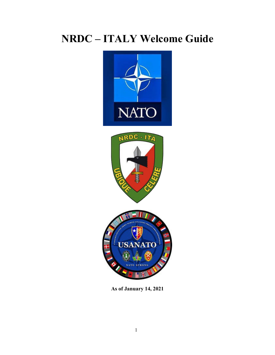# **NRDC – ITALY Welcome Guide**





**As of January 14, 2021**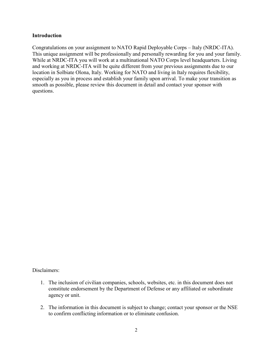#### **Introduction**

Congratulations on your assignment to NATO Rapid Deployable Corps – Italy (NRDC-ITA). This unique assignment will be professionally and personally rewarding for you and your family. While at NRDC-ITA you will work at a multinational NATO Corps level headquarters. Living and working at NRDC-ITA will be quite different from your previous assignments due to our location in Solbiate Olona, Italy. Working for NATO and living in Italy requires flexibility, especially as you in process and establish your family upon arrival. To make your transition as smooth as possible, please review this document in detail and contact your sponsor with questions.

Disclaimers:

- 1. The inclusion of civilian companies, schools, websites, etc. in this document does not constitute endorsement by the Department of Defense or any affiliated or subordinate agency or unit.
- 2. The information in this document is subject to change; contact your sponsor or the NSE to confirm conflicting information or to eliminate confusion.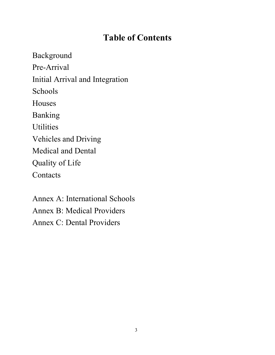## **Table of Contents**

Background Pre-Arrival Initial Arrival and Integration Schools Houses Banking **Utilities** Vehicles and Driving Medical and Dental Quality of Life **Contacts** 

Annex A: International Schools Annex B: Medical Providers Annex C: Dental Providers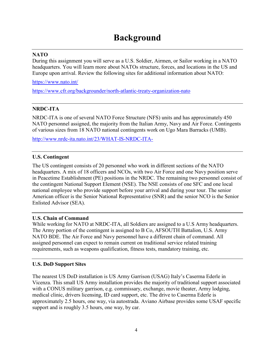## **Background**

## **NATO**

During this assignment you will serve as a U.S. Soldier, Airmen, or Sailor working in a NATO headquarters. You will learn more about NATOs structure, forces, and locations in the US and Europe upon arrival. Review the following sites for additional information about NATO:

<https://www.nato.int/>

<https://www.cfr.org/backgrounder/north-atlantic-treaty-organization-nato>

## **NRDC-ITA**

NRDC-ITA is one of several NATO Force Structure (NFS) units and has approximately 450 NATO personnel assigned, the majority from the Italian Army, Navy and Air Force. Contingents of various sizes from 18 NATO national contingents work on Ugo Mara Barracks (UMB).

<http://www.nrdc-ita.nato.int/23/WHAT-IS-NRDC-ITA->

## **U.S. Contingent**

The US contingent consists of 20 personnel who work in different sections of the NATO headquarters. A mix of 18 officers and NCOs, with two Air Force and one Navy position serve in Peacetime Establishment (PE) positions in the NRDC. The remaining two personnel consist of the contingent National Support Element (NSE). The NSE consists of one SFC and one local national employee who provide support before your arrival and during your tour. The senior American officer is the Senior National Representative (SNR) and the senior NCO is the Senior Enlisted Advisor (SEA).

## **U.S. Chain of Command**

While working for NATO at NRDC-ITA, all Soldiers are assigned to a U.S Army headquarters. The Army portion of the contingent is assigned to B Co, AFSOUTH Battalion, U.S. Army NATO BDE. The Air Force and Navy personnel have a different chain of command. All assigned personnel can expect to remain current on traditional service related training requirements, such as weapons qualification, fitness tests, mandatory training, etc.

## **U.S. DoD Support Sites**

The nearest US DoD installation is US Army Garrison (USAG) Italy's Caserma Ederle in Vicenza. This small US Army installation provides the majority of traditional support associated with a CONUS military garrison, e.g. commissary, exchange, movie theater, Army lodging, medical clinic, drivers licensing, ID card support, etc. The drive to Caserma Ederle is approximately 2.5 hours, one way, via autostrada. Aviano Airbase provides some USAF specific support and is roughly 3.5 hours, one way, by car.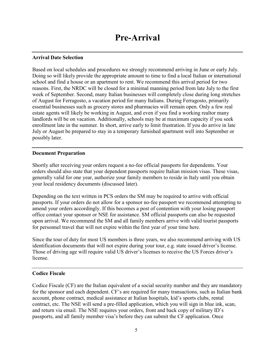#### **Arrival Date Selection**

Based on local schedules and procedures we strongly recommend arriving in June or early July. Doing so will likely provide the appropriate amount to time to find a local Italian or international school and find a house or an apartment to rent. We recommend this arrival period for two reasons. First, the NRDC will be closed for a minimal manning period from late July to the first week of September. Second, many Italian businesses will completely close during long stretches of August for Ferragosto, a vacation period for many Italians. During Ferragosto, primarily essential businesses such as grocery stores and pharmacies will remain open. Only a few real estate agents will likely be working in August, and even if you find a working realtor many landlords will be on vacation. Additionally, schools may be at maximum capacity if you seek enrollment late in the summer. In short, arrive early to limit frustration. If you do arrive in late July or August be prepared to stay in a temporary furnished apartment well into September or possibly later.

#### **Document Preparation**

Shortly after receiving your orders request a no-fee official passports for dependents. Your orders should also state that your dependent passports require Italian mission visas. These visas, generally valid for one year, authorize your family members to reside in Italy until you obtain your local residency documents (discussed later).

Depending on the text written in PCS orders the SM may be required to arrive with official passports. If your orders do not allow for a sponsor no-fee passport we recommend attempting to amend your orders accordingly. If this becomes a post of contention with your losing passport office contact your sponsor or NSE for assistance. SM official passports can also be requested upon arrival. We recommend the SM and all family members arrive with valid tourist passports for personnel travel that will not expire within the first year of your time here.

Since the tour of duty for most US members is three years, we also recommend arriving with US identification documents that will not expire during your tour, e.g. state issued driver's license. Those of driving age will require valid US driver's licenses to receive the US Forces driver's license.

## **Codice Fiscale**

Codice Fiscale (CF) are the Italian equivalent of a social security number and they are mandatory for the sponsor and each dependent. CF's are required for many transactions, such as Italian bank account, phone contract, medical assistance at Italian hospitals, kid's sports clubs, rental contract, etc. The NSE will send a pre-filled application, which you will sign in blue ink, scan, and return via email. The NSE requires your orders, front and back copy of military ID's passports, and all family member visa's before they can submit the CF application. Once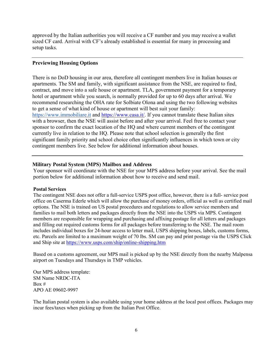approved by the Italian authorities you will receive a CF number and you may receive a wallet sized CF card. Arrival with CF's already established is essential for many in processing and setup tasks.

#### **Previewing Housing Options**

There is no DoD housing in our area, therefore all contingent members live in Italian houses or apartments. The SM and family, with significant assistance from the NSE, are required to find, contract, and move into a safe house or apartment. TLA, government payment for a temporary hotel or apartment while you search, is normally provided for up to 60 days after arrival. We recommend researching the OHA rate for Solbiate Olona and using the two following websites to get a sense of what kind of house or apartment will best suit your family: [https://www.immobiliare.it](https://www.immobiliare.it/) and [https://www.casa.it/. I](https://www.casa.it/)f you cannot translate these Italian sites with a browser, then the NSE will assist before and after your arrival. Feel free to contact your sponsor to confirm the exact location of the HQ and where current members of the contingent currently live in relation to the HQ. Please note that school selection is generally the first significant family priority and school choice often significantly influences in which town or city contingent members live. See below for additional information about houses.

#### **Military Postal System (MPS) Mailbox and Address**

Your sponsor will coordinate with the NSE for your MPS address before your arrival. See the mail portion below for additional information about how to receive and send mail.

#### **Postal Services**

The contingent NSE does not offer a full-service USPS post office, however, there is a full- service post office on Caserma Ederle which will allow the purchase of money orders, official as well as certified mail options. The NSE is trained on US postal procedures and regulations to allow service members and families to mail both letters and packages directly from the NSE into the USPS via MPS. Contingent members are responsible for wrapping and purchasing and affixing postage for all letters and packages and filling out required customs forms for all packages before transferring to the NSE. The mail room includes individual boxes for 24-hour access to letter mail, USPS shipping boxes, labels, customs forms, etc. Parcels are limited to a maximum weight of 70 lbs. SM can pay and print postage via the USPS Click and Ship site at<https://www.usps.com/ship/online-shipping.htm>

Based on a customs agreement, our MPS mail is picked up by the NSE directly from the nearby Malpensa airport on Tuesdays and Thursdays in TMP vehicles.

Our MPS address template: SM Name NRDC-ITA Box # APO AE 09602-9997

The Italian postal system is also available using your home address at the local post offices. Packages may incur fees/taxes when picking up from the Italian Post Office.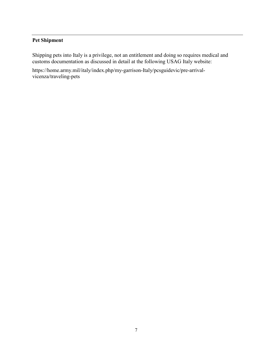## **Pet Shipment**

Shipping pets into Italy is a privilege, not an entitlement and doing so requires medical and customs documentation as discussed in detail at the following USAG Italy website:

https://home.army.mil/italy/index.php/my-garrison-Italy/pcsguidevic/pre-arrivalvicenza/traveling-pets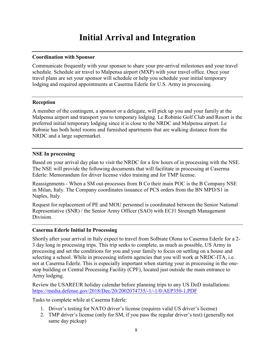## **Initial Arrival and Integration**

### **Coordination with Sponsor**

Communicate frequently with your sponsor to share your pre-arrival milestones and your travel schedule. Schedule air travel to Malpensa airport (MXP) with your travel office. Once your travel plans are set your sponsor will schedule or help you schedule your initial temporary lodging and required appointments at Caserma Ederle for U.S. Army in processing.

#### **Reception**

A member of the contingent, a sponsor or a delegate, will pick up you and your family at the Malpensa airport and transport you to temporary lodging. Le Robinie Golf Club and Resort is the preferred initial temporary lodging since it is close to the NRDC and Malpensa airport. Le Robinie has both hotel rooms and furnished apartments that are walking distance from the NRDC and a large supermarket.

#### **NSE In processing**

Based on your arrival day plan to visit the NRDC for a few hours of in processing with the NSE. The NSE will provide the following documents that will facilitate in processing at Caserma Ederle: Memorandum for driver license video training and for TMP license.

Reassignments - When a SM out-processes from B Co their main POC is the B Company NSE in Milan, Italy. The Company coordinates issuance of PCS orders from the BN MPD/S1 in Naples, Italy.

Request for replacement of PE and MOU personnel is coordinated between the Senior National Representative (SNR) / the Senior Army Officer (SAO) with ECJ1 Strength Management Division.

#### **Caserma Ederle Initial In Processing**

Shortly after your arrival in Italy expect to travel from Solbiate Olona to Caserma Ederle for a 2- 3 day long in processing trips. This trip seeks to complete, as much as possible, US Army in processing and set the conditions for you and your family to focus on settling on a house and selecting a school. While in processing inform agencies that you will work at NRDC-ITA, i.e. not at Caserma Ederle. This is especially important when starting your in processing in the onestop building or Central Processing Facility (CPF), located just outside the main entrance to Army lodging.

Review the USAREUR holiday calendar before planning trips to any US DoD installations: <https://media.defense.gov/2018/Dec/20/2002074735/-1/-1/0/AEP350-1.PDF>

Tasks to complete while at Caserma Ederle:

- 1. Driver's testing for NATO driver's license (requires valid US driver's license)
- 2. TMP driver's license (only for SM, if you pass the regular driver's test) (generally not same day pickup)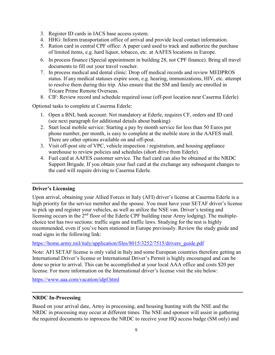- 3. Register ID cards in IACS base access system.
- 4. HHG: Inform transportation office of arrival and provide local contact information.
- 5. Ration card in central CPF office: A paper card used to track and authorize the purchase of limited items, e.g. hard liquor, tobacco, etc. at AAFES locations in Europe.
- 6. In process finance (Special appointment in building 28, not CPF finance). Bring all travel documents to fill out your travel voucher.
- 7. In process medical and dental clinic: Drop off medical records and review MEDPROS status. If any medical statuses expire soon, e.g. hearing, immunizations, HIV, etc. attempt to resolve them during this trip. Also ensure that the SM and family are enrolled in Tricare Prime Remote Overseas.
- 8. CIF: Review record and schedule required issue (off-post location near Caserma Ederle)

Optional tasks to complete at Caserma Ederle:

- 1. Open a BNL bank account: Not mandatory at Ederle, requires CF, orders and ID card (see next paragraph for additional details about banking)
- 2. Start local mobile service: Starting a pay by month service for less than 50 Euros per phone number, per month, is easy to complete at the mobile store in the AAFES mall. There are other options available on and off-post.
- 3. Visit off-post site of VPC, vehicle inspection / registration, and housing appliance warehouse to review policies and schedules (short drive from Ederle).
- 4. Fuel card at AAFES customer service. The fuel card can also be obtained at the NRDC Support Brigade. If you obtain your fuel card at the exchange any subsequent changes to the card will require driving to Caserma Ederle.

## **Driver's Licensing**

Upon arrival, obtaining your Allied Forces in Italy (AFI) driver's license at Caserma Ederle is a high priority for the service member and the spouse. You must have your SETAF driver's license to pick up and register your vehicles, as well as utilize the NSE van. Driver's testing and licensing occurs in the 2<sup>nd</sup> floor of the Ederle CPF building (near Army lodging). The multiplechoice test has two sections: traffic signs and traffic laws. Studying for the test is highly recommended, even if you've been stationed in Europe previously. Review the study guide and road signs in the following link:

[https://home.army.mil/italy/application/files/8015/3252/7515/drivers\\_guide.pdf](https://home.army.mil/italy/application/files/8015/3252/7515/drivers_guide.pdf)

Note: AFI SETAF license is only valid in Italy and some European countries therefore getting an International Driver's license or International Driver's Permit is highly encouraged and can be done so prior to arrival. This can be accomplished at your local AAA office and costs \$20 per license. For more information on the International driver's license visit the site below:

<https://www.aaa.com/vacation/idpf.html>

## **NRDC In-Processing**

Based on your arrival date, Army in processing, and housing hunting with the NSE and the NRDC in processing may occur at different times. The NSE and sponsor will assist in gathering the required documents to inprocess the NRDC to receive your HQ access badge (SM only) and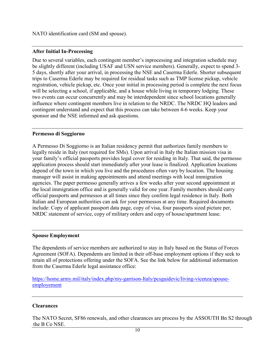NATO identification card (SM and spouse).

## **After Initial In-Processing**

Due to several variables, each contingent member's inprocessing and integration schedule may be slightly different (including USAF and USN service members). Generally, expect to spend 3- 5 days, shortly after your arrival, in processing the NSE and Caserma Ederle. Shorter subsequent trips to Caserma Ederle may be required for residual tasks such as TMP license pickup, vehicle registration, vehicle pickup, etc. Once your initial in processing period is complete the next focus will be selecting a school, if applicable, and a house while living in temporary lodging. These two events can occur concurrently and may be interdependent since school locations generally influence where contingent members live in relation to the NRDC. The NRDC HQ leaders and contingent understand and expect that this process can take between 4-6 weeks. Keep your sponsor and the NSE informed and ask questions.

## **Permesso di Soggiorno**

A Permesso Di Soggiorno is an Italian residency permit that authorizes family members to legally reside in Italy (not required for SMs). Upon arrival in Italy the Italian mission visa in your family's official passports provides legal cover for residing in Italy. That said, the permesso application process should start immediately after your lease is finalized. Application locations depend of the town in which you live and the procedures often vary by location. The housing manager will assist in making appointments and attend meetings with local immigration agencies. The paper permesso generally arrives a few weeks after your second appointment at the local immigration office and is generally valid for one year. Family members should carry official passports and permessos at all times since they confirm legal residence in Italy. Both Italian and European authorities can ask for your permessos at any time. Required documents include: Copy of applicant passport data page, copy of visa, four passports sized picture per, NRDC statement of service, copy of military orders and copy of house/apartment lease.

## **Spouse Employment**

The dependents of service members are authorized to stay in Italy based on the Status of Forces Agreement (SOFA). Dependents are limited in their off-base employment options if they seek to retain all of protections offering under the SOFA. See the link below for additional information from the Caserma Ederle legal assistance office:

[https://home.army.mil/italy/index.php/my-garrison-Italy/pcsguidevic/living-vicenza/spouse](https://home.army.mil/italy/index.php/my-garrison-Italy/pcsguidevic/living-vicenza/spouse-employement)[employement](https://home.army.mil/italy/index.php/my-garrison-Italy/pcsguidevic/living-vicenza/spouse-employement)

## **Clearances**

The NATO Secret, SF86 renewals, and other clearances are process by the ASSOUTH Bn S2 through the B Co NSE.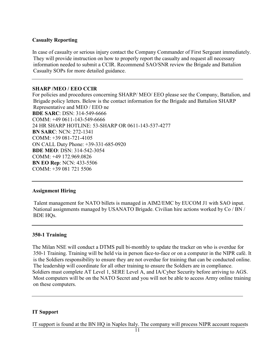## **Casualty Reporting**

In case of casualty or serious injury contact the Company Commander of First Sergeant immediately. They will provide instruction on how to properly report the casualty and request all necessary information needed to submit a CCIR. Recommend SAO/SNR review the Brigade and Battalion Casualty SOPs for more detailed guidance.

## **SHARP /MEO / EEO CCIR**

For policies and procedures concerning SHARP/ MEO/ EEO please see the Company, Battalion, and Brigade policy letters. Below is the contact information for the Brigade and Battalion SHARP Representative and MEO / EEO ne **BDE SARC**: DSN: 314-549-6666 COMM: +49 0611-143-549-6666 24 HR SHARP HOTLINE: 53-SHARP OR 0611-143-537-4277 **BN SARC**: NCN: 272-1341 COMM: +39 081-721-4105 ON CALL Duty Phone: +39-331-685-0920 **BDE MEO**: DSN: 314-542-3054 COMM: +49 172.969.0826 **BN EO Rep**: NCN: 433-5506 COMM: +39 081 721 5506

## **Assignment Hiring**

Talent management for NATO billets is managed in AIM2/EMC by EUCOM J1 with SAO input. National assignments managed by USANATO Brigade. Civilian hire actions worked by Co / BN / BDE HQs.

## **350-1 Training**

The Milan NSE will conduct a DTMS pull bi-monthly to update the tracker on who is overdue for 350-1 Training. Training will be held via in person face-to-face or on a computer in the NIPR café. It is the Soldiers responsibility to ensure they are not overdue for training that can be conducted online. The leadership will coordinate for all other training to ensure the Soldiers are in compliance. Soldiers must complete AT Level 1, SERE Level A, and IA/Cyber Security before arriving to AGS. Most computers will be on the NATO Secret and you will not be able to access Army online training on these computers.

## **IT Support**

IT support is found at the BN HQ in Naples Italy. The company will process NIPR account requests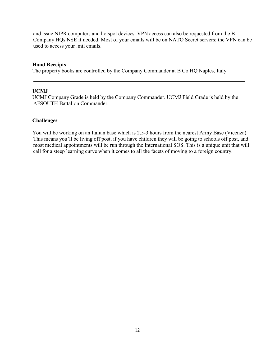and issue NIPR computers and hotspot devices. VPN access can also be requested from the B Company HQs NSE if needed. Most of your emails will be on NATO Secret servers; the VPN can be used to access your .mil emails.

#### **Hand Receipts**

The property books are controlled by the Company Commander at B Co HQ Naples, Italy.

#### **UCMJ**

UCMJ Company Grade is held by the Company Commander. UCMJ Field Grade is held by the AFSOUTH Battalion Commander.

#### **Challenges**

You will be working on an Italian base which is 2.5-3 hours from the nearest Army Base (Vicenza). This means you'll be living off post, if you have children they will be going to schools off post, and most medical appointments will be run through the International SOS. This is a unique unit that will call for a steep learning curve when it comes to all the facets of moving to a foreign country.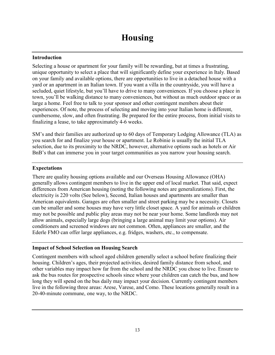#### **Introduction**

Selecting a house or apartment for your family will be rewarding, but at times a frustrating, unique opportunity to select a place that will significantly define your experience in Italy. Based on your family and available options, there are opportunities to live in a detached house with a yard or an apartment in an Italian town. If you want a villa in the countryside, you will have a secluded, quiet lifestyle, but you'll have to drive to many conveniences. If you choose a place in town, you'll be walking distance to many conveniences, but without as much outdoor space or as large a home. Feel free to talk to your sponsor and other contingent members about their experiences. Of note, the process of selecting and moving into your Italian home is different, cumbersome, slow, and often frustrating. Be prepared for the entire process, from initial visits to finalizing a lease, to take approximately 4-6 weeks.

SM's and their families are authorized up to 60 days of Temporary Lodging Allowance (TLA) as you search for and finalize your house or apartment. Le Robinie is usually the initial TLA selection, due to its proximity to the NRDC, however, alternative options such as hotels or Air BnB's that can immerse you in your target communities as you narrow your housing search.

#### **Expectations**

There are quality housing options available and our Overseas Housing Allowance (OHA) generally allows contingent members to live in the upper end of local market. That said, expect differences from American housing (noting the following notes are generalizations). First, the electricity is 220 volts (See below), Second, Italian houses and apartments are smaller than American equivalents. Garages are often smaller and street parking may be a necessity. Closets can be smaller and some houses may have very little closet space. A yard for animals or children may not be possible and public play areas may not be near your home. Some landlords may not allow animals, especially large dogs (bringing a large animal may limit your options). Air conditioners and screened windows are not common. Often, appliances are smaller, and the Ederle FMO can offer large appliances, e.g. fridges, washers, etc., to compensate.

## **Impact of School Selection on Housing Search**

Contingent members with school aged children generally select a school before finalizing their housing. Children's ages, their projected activities, desired family distance from school, and other variables may impact how far from the school and the NRDC you chose to live. Ensure to ask the bus routes for prospective schools since where your children can catch the bus, and how long they will spend on the bus daily may impact your decision. Currently contingent members live in the following three areas: Arese, Varese, and Como. These locations generally result in a 20-40-minute commune, one way, to the NRDC.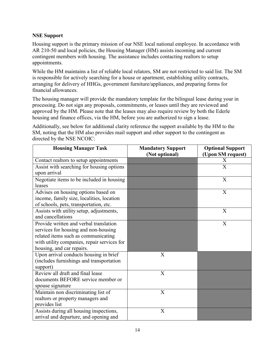## **NSE Support**

Housing support is the primary mission of our NSE local national employee. In accordance with AR 210-50 and local policies, the Housing Manager (HM) assists incoming and current contingent members with housing. The assistance includes contacting realtors to setup appointments.

While the HM maintains a list of reliable local relators, SM are not restricted to said list. The SM is responsible for actively searching for a house or apartment, establishing utility contracts, arranging for delivery of HHGs, government furniture/appliances, and preparing forms for financial allowances.

The housing manager will provide the mandatory template for the bilingual lease during your in processing. Do not sign any proposals, commitments, or leases until they are reviewed and approved by the HM. Please note that the leases may also require review by both the Ederle housing and finance offices, via the HM, before you are authorized to sign a lease.

Additionally, see below for additional clarity reference the support available by the HM to the SM, noting that the HM also provides mail support and other support to the contingent as directed by the NSE NCOIC:

| <b>Housing Manager Task</b>                                                                                                                                                                       | <b>Mandatory Support</b><br>(Not optional) | <b>Optional Support</b><br>(Upon SM request) |
|---------------------------------------------------------------------------------------------------------------------------------------------------------------------------------------------------|--------------------------------------------|----------------------------------------------|
| Contact realtors to setup appointments                                                                                                                                                            |                                            | X                                            |
| Assist with searching for housing options<br>upon arrival                                                                                                                                         |                                            | X                                            |
| Negotiate items to be included in housing<br>leases                                                                                                                                               |                                            | X                                            |
| Advises on housing options based on<br>income, family size, localities, location<br>of schools, pets, transportation, etc.                                                                        |                                            | X                                            |
| Assists with utility setup, adjustments,<br>and cancellations                                                                                                                                     |                                            | X                                            |
| Provide written and verbal translation<br>services for housing and non-housing<br>related items such as communicating<br>with utility companies, repair services for<br>housing, and car repairs. |                                            | $\mathbf X$                                  |
| Upon arrival conducts housing in brief<br>(includes furnishings and transportation<br>support)                                                                                                    | X                                          |                                              |
| Review all draft and final lease<br>documents BEFORE service member or<br>spouse signature                                                                                                        | $\boldsymbol{\mathrm{X}}$                  |                                              |
| Maintain non discriminating list of<br>realtors or property managers and<br>provides list                                                                                                         | $\boldsymbol{\mathrm{X}}$                  |                                              |
| Assists during all housing inspections,<br>arrival and departure, and opening and                                                                                                                 | $\boldsymbol{\mathrm{X}}$                  |                                              |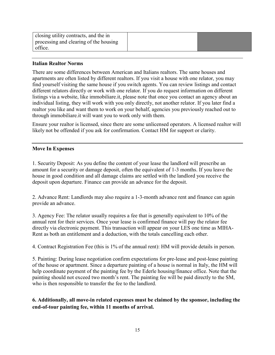| closing utility contracts, and the in  |  |
|----------------------------------------|--|
| processing and clearing of the housing |  |
| office.                                |  |

#### **Italian Realtor Norms**

There are some differences between American and Italians realtors. The same houses and apartments are often listed by different realtors. If you visit a house with one relator, you may find yourself visiting the same house if you switch agents. You can review listings and contact different relators directly or work with one relator. If you do request information on different listings via a website, like immobiliare.it, please note that once you contact an agency about an individual listing, they will work with you only directly, not another relator. If you later find a realtor you like and want them to work on your behalf, agencies you previously reached out to through immobiliare.it will want you to work only with them.

Ensure your realtor is licensed, since there are some unlicensed operators. A licensed realtor will likely not be offended if you ask for confirmation. Contact HM for support or clarity.

#### **Move In Expenses**

1. Security Deposit: As you define the content of your lease the landlord will prescribe an amount for a security or damage deposit, often the equivalent of 1-3 months. If you leave the house in good condition and all damage claims are settled with the landlord you receive the deposit upon departure. Finance can provide an advance for the deposit.

2. Advance Rent: Landlords may also require a 1-3-month advance rent and finance can again provide an advance.

3. Agency Fee: The relator usually requires a fee that is generally equivalent to 10% of the annual rent for their services. Once your lease is confirmed finance will pay the relator fee directly via electronic payment. This transaction will appear on your LES one time as MIHA-Rent as both an entitlement and a deduction, with the totals cancelling each other.

4. Contract Registration Fee (this is 1% of the annual rent): HM will provide details in person.

5. Painting: During lease negotiation confirm expectations for pre-lease and post-lease painting of the house or apartment. Since a departure painting of a house is normal in Italy, the HM will help coordinate payment of the painting fee by the Ederle housing/finance office. Note that the painting should not exceed two month's rent. The painting fee will be paid directly to the SM, who is then responsible to transfer the fee to the landlord.

## **6. Additionally, all move-in related expenses must be claimed by the sponsor, including the end-of-tour painting fee, within 11 months of arrival.**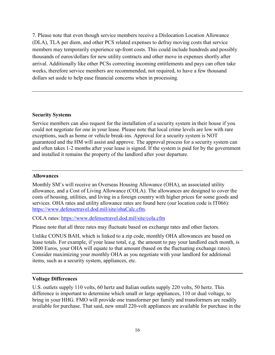7. Please note that even though service members receive a Dislocation Location Allowance (DLA), TLA per diem, and other PCS related expenses to defray moving costs that service members may temporarily experience up-front costs. This could include hundreds and possibly thousands of euros/dollars for new utility contracts and other move in expenses shortly after arrival. Additionally like other PCSs correcting incoming entitlements and pays can often take weeks, therefore service members are recommended, not required, to have a few thousand dollars set aside to help ease financial concerns when in processing.

#### **Security Systems**

Service members can also request for the installation of a security system in their house if you could not negotiate for one in your lease. Please note that local crime levels are low with rare exceptions, such as home or vehicle break-ins. Approval for a security system is NOT guaranteed and the HM will assist and approve. The approval process for a security system can and often takes 1-2 months after your lease is signed. If the system is paid for by the government and installed it remains the property of the landlord after your departure.

#### **Allowances**

Monthly SM's will receive an Overseas Housing Allowance (OHA), an associated utility allowance, and a Cost of Living Allowance (COLA). The allowances are designed to cover the costs of housing, utilities, and living in a foreign country with higher prices for some goods and services. OHA rates and utility allowance rates are found here (our location code is IT066): [https://www.defensetravel.dod.mil/site/ohaCalc.cfm.](https://www.defensetravel.dod.mil/site/ohaCalc.cfm)

COLA rates: <https://www.defensetravel.dod.mil/site/cola.cfm>

Please note that all three rates may fluctuate based on exchange rates and other factors.

Unlike CONUS BAH, which is linked to a zip code, monthly OHA allowances are based on lease totals. For example, if your lease total, e.g. the amount to pay your landlord each month, is 2000 Euros, your OHA will equate to that amount (based on the fluctuating exchange rates). Consider maximizing your monthly OHA as you negotiate with your landlord for additional items, such as a security system, appliances, etc.

#### **Voltage Differences**

U.S. outlets supply 110 volts, 60 hertz and Italian outlets supply 220 volts, 50 hertz. This difference is important to determine which small or large appliances, 110 or dual voltage, to bring in your HHG. FMO will provide one transformer per family and transformers are readily available for purchase. That said, new small 220-volt appliances are available for purchase in the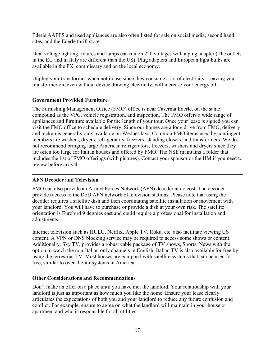Ederle AAFES and used appliances are also often listed for sale on social media, second hand sites, and the Ederle thrift store.

Dual voltage lighting fixtures and lamps can run on 220 voltages with a plug adapter (The outlets in the EU and in Italy are different than the US). Plug adapters and European light bulbs are available in the PX, commissary and on the local economy.

Unplug your transformer when not in use since they consume a lot of electricity. Leaving your transformer on, even without device drawing electricity, will increase your energy bill.

## **Government Provided Furniture**

The Furnishing Management Office (FMO) office is near Caserma Ederle, on the same compound as the VPC, vehicle registration, and inspection. The FMO offers a wide range of appliances and furniture available for the length of your tour. Once your lease is signed you can visit the FMO office to schedule delivery. Since our homes are a long drive from FMO, delivery and pickup is generally only available on Wednesdays. Common FMO items used by contingent members are washers, dryers, refrigerators, freezers, standing closets, and transformers. We do not recommend bringing large American refrigerators, freezers, washers and dryers since they are often too large for Italian houses and offered by FMO. The NSE maintains a folder that includes the list of FMO offerings (with pictures). Contact your sponsor or the HM if you need to review before arrival.

### **AFN Decoder and Television**

FMO can also provide an Armed Forces Network (AFN) decoder at no cost. The decoder provides access to the DoD AFN network of television stations. Please note that using the decoder requires a satellite dish and then coordinating satellite installation or movement with your landlord. You will have to purchase or provide a dish at your own risk. The satellite orientation is Eurobird 9 degrees east and could require a professional for installation and adjustments.

Internet television such as HULU, Netflix, Apple TV, Roku, etc. also facilitate viewing US content. A VPN or DNS blocking service may be required to access some shows or content. Additionally, Sky TV, provides a robust cable package of TV shows, Sports, News with the option to watch the non-Italian only channels in English. Italian TV is also available for free by using the terrestrial TV. Most houses are equipped with satellite systems that can be used for free, similar to over-the-air systems in America.

#### **Other Considerations and Recommendations**

Don't make an offer on a place until you have met the landlord. Your relationship with your landlord is just as important as how much you like the home. Ensure your lease clearly articulates the expectations of both you and your landlord to reduce any future confusion and conflict. For example, ensure to agree on what the landlord will maintain in your house or apartment and who is responsible for all utilities.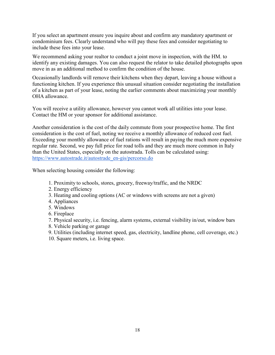If you select an apartment ensure you inquire about and confirm any mandatory apartment or condominium fees. Clearly understand who will pay these fees and consider negotiating to include these fees into your lease.

We recommend asking your realtor to conduct a joint move in inspection, with the HM. to identify any existing damages. You can also request the relator to take detailed photographs upon move in as an additional method to confirm the condition of the house.

Occasionally landlords will remove their kitchens when they depart, leaving a house without a functioning kitchen. If you experience this unusual situation consider negotiating the installation of a kitchen as part of your lease, noting the earlier comments about maximizing your monthly OHA allowance.

You will receive a utility allowance, however you cannot work all utilities into your lease. Contact the HM or your sponsor for additional assistance.

Another consideration is the cost of the daily commute from your prospective home. The first consideration is the cost of fuel, noting we receive a monthly allowance of reduced cost fuel. Exceeding your monthly allowance of fuel rations will result in paying the much more expensive regular rate. Second, we pay full price for road tolls and they are much more common in Italy than the United States, especially on the autostrada. Tolls can be calculated using: [https://www.autostrade.it/autostrade\\_en-gis/percorso.do](https://www.autostrade.it/autostrade_en-gis/percorso.do)

When selecting housing consider the following:

- 1. Proximity to schools, stores, grocery, freeway/traffic, and the NRDC
- 2. Energy efficiency
- 3. Heating and cooling options (AC or windows with screens are not a given)
- 4. Appliances
- 5. Windows
- 6. Fireplace
- 7. Physical security, i.e. fencing, alarm systems, external visibility in/out, window bars
- 8. Vehicle parking or garage
- 9. Utilities (including internet speed, gas, electricity, landline phone, cell coverage, etc.)
- 10. Square meters, i.e. living space.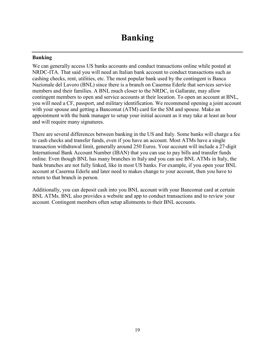## **Banking**

We can generally access US banks accounts and conduct transactions online while posted at NRDC-ITA. That said you will need an Italian bank account to conduct transactions such as cashing checks, rent, utilities, etc. The most popular bank used by the contingent is Banca Nazionale del Lavoro (BNL) since there is a branch on Caserma Ederle that services service members and their families. A BNL much closer to the NRDC, in Gallarate, may allow contingent members to open and service accounts at their location. To open an account at BNL, you will need a CF, passport, and military identification. We recommend opening a joint account with your spouse and getting a Bancomat (ATM) card for the SM and spouse. Make an appointment with the bank manager to setup your initial account as it may take at least an hour and will require many signatures.

There are several differences between banking in the US and Italy. Some banks will charge a fee to cash checks and transfer funds, even if you have an account. Most ATMs have a single transaction withdrawal limit, generally around 250 Euros. Your account will include a 27-digit International Bank Account Number (IBAN) that you can use to pay bills and transfer funds online. Even though BNL has many branches in Italy and you can use BNL ATMs in Italy, the bank branches are not fully linked, like in most US banks. For example, if you open your BNL account at Caserma Ederle and later need to makes change to your account, then you have to return to that branch in person.

Additionally, you can deposit cash into you BNL account with your Bancomat card at certain BNL ATMs. BNL also provides a website and app to conduct transactions and to review your account. Contingent members often setup allotments to their BNL accounts.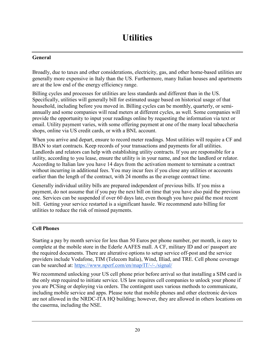## **Utilities**

## **General**

Broadly, due to taxes and other considerations, electricity, gas, and other home-based utilities are generally more expensive in Italy than the US. Furthermore, many Italian houses and apartments are at the low end of the energy efficiency range.

Billing cycles and processes for utilities are less standards and different than in the US. Specifically, utilities will generally bill for estimated usage based on historical usage of that household, including before you moved in. Billing cycles can be monthly, quarterly, or semiannually and some companies will read meters at different cycles, as well. Some companies will provide the opportunity to input your readings online by requesting the information via text or email. Utility payment varies, with some offering payment at one of the many local tabaccheria shops, online via US credit cards, or with a BNL account.

When you arrive and depart, ensure to record meter readings. Most utilities will require a CF and IBAN to start contracts. Keep records of your transactions and payments for all utilities. Landlords and relators can help with establishing utility contracts. If you are responsible for a utility, according to you lease, ensure the utility is in your name, and not the landlord or relator. According to Italian law you have 14 days from the activation moment to terminate a contract without incurring in additional fees. You may incur fees if you close any utilities or accounts earlier than the length of the contract, with 24 months as the average contract time.

Generally individual utility bills are prepared independent of previous bills. If you miss a payment, do not assume that if you pay the next bill on time that you have also paid the previous one. Services can be suspended if over 60 days late, even though you have paid the most recent bill. Getting your service restarted is a significant hassle. We recommend auto billing for utilities to reduce the risk of missed payments.

## **Cell Phones**

Starting a pay by month service for less than 50 Euros per phone number, per month, is easy to complete at the mobile store in the Ederle AAFES mall. A CF, military ID and or/ passport are the required documents. There are alterative options to setup service off-post and the service providers include Vodafone, TIM (Telecom Italia), Wind, Illiad, and TRE. Cell phone coverage can be searched at: <https://www.nperf.com/en/map/IT/-/-./signal/>

We recommend unlocking your US cell phone prior before arrival so that installing a SIM card is the only step required to initiate service. US law requires cell companies to unlock your phone if you are PCSing or deploying via orders. The contingent uses various methods to communicate, including mobile service and apps. Please note that mobile phones and other electronic devices are not allowed in the NRDC-ITA HQ building; however, they are allowed in others locations on the caserma, including the NSE.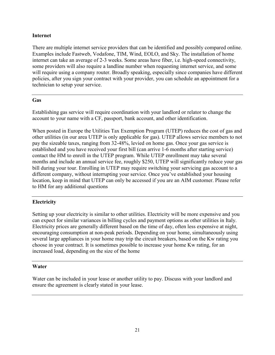#### **Internet**

There are multiple internet service providers that can be identified and possibly compared online. Examples include Fastweb, Vodafone, TIM, Wind, EOLO, and Sky. The installation of home internet can take an average of 2-3 weeks. Some areas have fiber, i.e. high-speed connectivity, some providers will also require a landline number when requesting internet service, and some will require using a company router. Broadly speaking, especially since companies have different policies, after you sign your contract with your provider, you can schedule an appointment for a technician to setup your service.

#### **Gas**

Establishing gas service will require coordination with your landlord or relator to change the account to your name with a CF, passport, bank account, and other identification.

When posted in Europe the Utilities Tax Exemption Program (UTEP) reduces the cost of gas and other utilities (in our area UTEP is only applicable for gas). UTEP allows service members to not pay the sizeable taxes, ranging from 32-48%, levied on home gas. Once your gas service is established and you have received your first bill (can arrive 1-6 months after starting service) contact the HM to enroll in the UTEP program. While UTEP enrollment may take several months and include an annual service fee, roughly \$250, UTEP will significantly reduce your gas bill during your tour. Enrolling in UTEP may require switching your servicing gas account to a different company, without interrupting your service. Once you've established your housing location, keep in mind that UTEP can only be accessed if you are an AIM customer. Please refer to HM for any additional questions

## **Electricity**

Setting up your electricity is similar to other utilities. Electricity will be more expensive and you can expect for similar variances in billing cycles and payment options as other utilities in Italy. Electricity prices are generally different based on the time of day, often less expensive at night, encouraging consumption at non-peak periods. Depending on your home, simultaneously using several large appliances in your home may trip the circuit breakers, based on the Kw rating you choose in your contract. It is sometimes possible to increase your home Kw rating, for an increased load, depending on the size of the home

## **Water**

Water can be included in your lease or another utility to pay. Discuss with your landlord and ensure the agreement is clearly stated in your lease.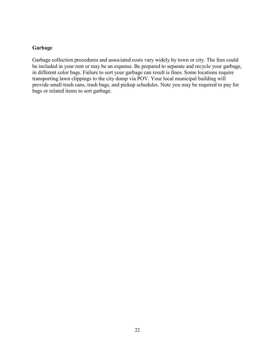## **Garbage**

Garbage collection procedures and associated costs vary widely by town or city. The fees could be included in your rent or may be an expense. Be prepared to separate and recycle your garbage, in different color bags. Failure to sort your garbage can result is fines. Some locations require transporting lawn clippings to the city dump via POV. Your local municipal building will provide small trash cans, trash bags, and pickup schedules. Note you may be required to pay for bags or related items to sort garbage.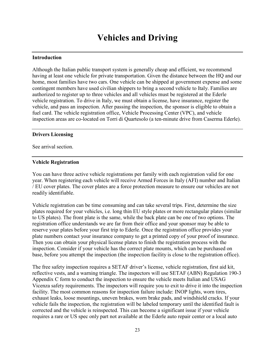#### **Introduction**

Although the Italian public transport system is generally cheap and efficient, we recommend having at least one vehicle for private transportation. Given the distance between the HQ and our home, most families have two cars. One vehicle can be shipped at government expense and some contingent members have used civilian shippers to bring a second vehicle to Italy. Families are authorized to register up to three vehicles and all vehicles must be registered at the Ederle vehicle registration. To drive in Italy, we must obtain a license, have insurance, register the vehicle, and pass an inspection. After passing the inspection, the sponsor is eligible to obtain a fuel card. The vehicle registration office, Vehicle Processing Center (VPC), and vehicle inspection areas are co-located on Torri di Quartesolo (a ten-minute drive from Caserma Ederle).

#### **Drivers Licensing**

See arrival section.

#### **Vehicle Registration**

You can have three active vehicle registrations per family with each registration valid for one year. When registering each vehicle will receive Armed Forces in Italy (AFI) number and Italian / EU cover plates. The cover plates are a force protection measure to ensure our vehicles are not readily identifiable.

Vehicle registration can be time consuming and can take several trips. First, determine the size plates required for your vehicles, i.e. long thin EU style plates or more rectangular plates (similar to US plates). The front plate is the same, while the back plate can be one of two options. The registration office understands we are far from their office and your sponsor may be able to reserve your plates before your first trip to Ederle. Once the registration office provides your plate numbers contact your insurance company to get a printed copy of your proof of insurance. Then you can obtain your physical license plates to finish the registration process with the inspection. Consider if your vehicle has the correct plate mounts, which can be purchased on base, before you attempt the inspection (the inspection facility is close to the registration office).

The free safety inspection requires a SETAF driver's license, vehicle registration, first aid kit, reflective vests, and a warning triangle. The inspectors will use SETAF (ABN) Regulation 190-3 Appendix C form to conduct the inspection to ensure the vehicle meets Italian and USAG Vicenza safety requirements. The inspectors will require you to exit to drive it into the inspection facility. The most common reasons for inspection failure include: INOP lights, worn tires, exhaust leaks, loose mountings, uneven brakes, worn brake pads, and windshield cracks. If your vehicle fails the inspection, the registration will be labeled temporary until the identified fault is corrected and the vehicle is reinspected. This can become a significant issue if your vehicle requires a rare or US spec only part not available at the Ederle auto repair center or a local auto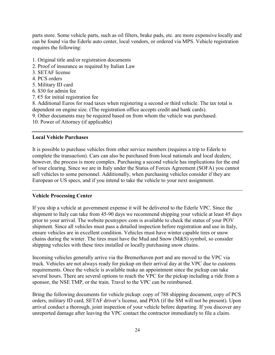parts store. Some vehicle parts, such as oil filters, brake pads, etc. are more expensive locally and can be found via the Ederle auto center, local vendors, or ordered via MPS. Vehicle registration requires the following:

- 1. Original title and/or registration documents
- 2. Proof of insurance as required by Italian Law
- 3. SETAF license
- 4. PCS orders
- 5. Military ID card
- 6. \$30 for admin fee
- 7.  $\epsilon$ 5 for initial registration fee

8. Additional Euros for road taxes when registering a second or third vehicle. The tax total is dependent on engine size. (The registration office accepts credit and bank cards).

- 9. Other documents may be required based on from whom the vehicle was purchased.
- 10. Power of Attorney (if applicable)

#### **Local Vehicle Purchases**

It is possible to purchase vehicles from other service members (requires a trip to Ederle to complete the transaction). Cars can also be purchased from local nationals and local dealers; however, the process is more complex. Purchasing a second vehicle has implications for the end of tour clearing. Since we are in Italy under the Status of Forces Agreement (SOFA) you cannot sell vehicles to some personnel. Additionally, when purchasing vehicles consider if they are European or US specs, and if you intend to take the vehicle to your next assignment.

#### **Vehicle Processing Center**

If you ship a vehicle at government expense it will be delivered to the Ederle VPC. Since the shipment to Italy can take from 45-90 days we recommend shipping your vehicle at least 45 days prior to your arrival. The website pcsmypov.com is available to check the status of your POV shipment. Since all vehicles must pass a detailed inspection before registration and use in Italy, ensure vehicles are in excellent condition. Vehicles must have winter capable tires or snow chains during the winter. The tires must have the Mud and Snow (M&S) symbol, so consider shipping vehicles with these tires installed or locally purchasing snow chains.

Incoming vehicles generally arrive via the Bremerhaven port and are moved to the VPC via truck. Vehicles are not always ready for pickup on their arrival day at the VPC due to customs requirements. Once the vehicle is available make an appointment since the pickup can take several hours. There are several options to reach the VPC for the pickup including a ride from a sponsor, the NSE TMP, or the train. Travel to the VPC can be reimbursed.

Bring the following documents for vehicle pickup: copy of 788 shipping document, copy of PCS orders, military ID card, SETAF driver's license, and POA (if the SM will not be present). Upon arrival conduct a thorough, joint inspection of your vehicle before departing. If you discover any unreported damage after leaving the VPC contact the contractor immediately to file a claim.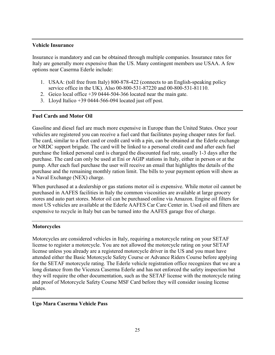#### **Vehicle Insurance**

Insurance is mandatory and can be obtained through multiple companies. Insurance rates for Italy are generally more expensive than the US. Many contingent members use USAA. A few options near Caserma Ederle include:

- 1. USAA: (toll free from Italy) 800-878-422 (connects to an English-speaking policy service office in the UK). Also 00-800-531-87220 and 00-800-531-81110.
- 2. Geico local office +39 0444-504-366 located near the main gate.
- 3. Lloyd Italico  $+390444-566-094$  located just off post.

## **Fuel Cards and Motor Oil**

Gasoline and diesel fuel are much more expensive in Europe than the United States. Once your vehicles are registered you can receive a fuel card that facilitates paying cheaper rates for fuel. The card, similar to a fleet card or credit card with a pin, can be obtained at the Ederle exchange or NRDC support brigade. The card will be linked to a personal credit card and after each fuel purchase the linked personal card is charged the discounted fuel rate, usually 1-3 days after the purchase. The card can only be used at Eni or AGIP stations in Italy, either in person or at the pump. After each fuel purchase the user will receive an email that highlights the details of the purchase and the remaining monthly ration limit. The bills to your payment option will show as a Naval Exchange (NEX) charge.

When purchased at a dealership or gas stations motor oil is expensive. While motor oil cannot be purchased in AAFES facilities in Italy the common viscosities are available at large grocery stores and auto part stores. Motor oil can be purchased online via Amazon. Engine oil filters for most US vehicles are available at the Ederle AAFES Car Care Center in. Used oil and filters are expensive to recycle in Italy but can be turned into the AAFES garage free of charge.

## **Motorcycles**

Motorcycles are considered vehicles in Italy, requiring a motorcycle rating on your SETAF license to register a motorcycle. You are not allowed the motorcycle rating on your SETAF license unless you already are a registered motorcycle driver in the US and you must have attended either the Basic Motorcycle Safety Course or Advance Riders Course before applying for the SETAF motorcycle rating. The Ederle vehicle registration office recognizes that we are a long distance from the Vicenza Caserma Ederle and has not enforced the safety inspection but they will require the other documentation, such as the SETAF license with the motorcycle rating and proof of Motorcycle Safety Course MSF Card before they will consider issuing license plates.

## **Ugo Mara Caserma Vehicle Pass**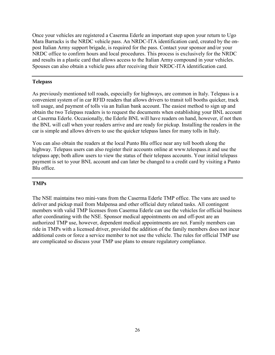Once your vehicles are registered a Caserma Ederle an important step upon your return to Ugo Mara Barracks is the NRDC vehicle pass. An NRDC-ITA identification card, created by the onpost Italian Army support brigade, is required for the pass. Contact your sponsor and/or your NRDC office to confirm hours and local procedures. This process is exclusively for the NRDC and results in a plastic card that allows access to the Italian Army compound in your vehicles. Spouses can also obtain a vehicle pass after receiving their NRDC-ITA identification card.

### **Telepass**

As previously mentioned toll roads, especially for highways, are common in Italy. Telepass is a convenient system of in car RFID readers that allows drivers to transit toll booths quicker, track toll usage, and payment of tolls via an Italian bank account. The easiest method to sign up and obtain the two Telepass readers is to request the documents when establishing your BNL account at Caserma Ederle. Occasionally, the Ederle BNL will have readers on hand, however, if not then the BNL will call when your readers arrive and are ready for pickup. Installing the readers in the car is simple and allows drivers to use the quicker telepass lanes for many tolls in Italy.

You can also obtain the readers at the local Punto Blu office near any toll booth along the highway. Telepass users can also register their accounts online at [www.telespass.it a](http://www.telespass.it/)nd use the telepass app; both allow users to view the status of their telepass accounts. Your initial telepass payment is set to your BNL account and can later be changed to a credit card by visiting a Punto Blu office.

#### **TMPs**

The NSE maintains two mini-vans from the Caserma Ederle TMP office. The vans are used to deliver and pickup mail from Malpensa and other official duty related tasks. All contingent members with valid TMP licenses from Caserma Ederle can use the vehicles for official business after coordinating with the NSE. Sponsor medical appointments on and off-post are an authorized TMP use, however, dependent medical appointments are not. Family members can ride in TMPs with a licensed driver, provided the addition of the family members does not incur additional costs or force a service member to not use the vehicle. The rules for official TMP use are complicated so discuss your TMP use plans to ensure regulatory compliance.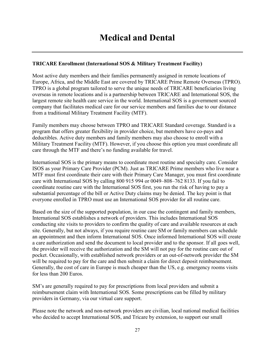## **Medical and Dental**

## **TRICARE Enrollment (International SOS & Military Treatment Facility)**

Most active duty members and their families permanently assigned in remote locations of Europe, Africa, and the Middle East are covered by TRICARE Prime Remote Overseas (TPRO). TPRO is a global program tailored to serve the unique needs of TRICARE beneficiaries living overseas in remote locations and is a partnership between TRICARE and International SOS, the largest remote site health care service in the world. International SOS is a government sourced company that facilitates medical care for our service members and families due to our distance from a traditional Military Treatment Facility (MTF).

Family members may choose between TPRO and TRICARE Standard coverage. Standard is a program that offers greater flexibility in provider choice, but members have co-pays and deductibles. Active duty members and family members may also choose to enroll with a Military Treatment Facility (MTF). However, if you choose this option you must coordinate all care through the MTF and there's no funding available for travel.

International SOS is the primary means to coordinate most routine and specialty care. Consider ISOS as your Primary Care Provider (PCM). Just as TRICARE Prime members who live near a MTF must first coordinate their care with their Primary Care Manager, you must first coordinate care with International SOS by calling 800 915 994 or 0049–808–762 8133. If you fail to coordinate routine care with the International SOS first, you run the risk of having to pay a substantial percentage of the bill or Active Duty claims may be denied. The key point is that everyone enrolled in TPRO must use an International SOS provider for all routine care.

Based on the size of the supported population, in our case the contingent and family members, International SOS establishes a network of providers. This includes International SOS conducting site visits to providers to confirm the quality of care and available resources at each site. Generally, but not always, if you require routine care SM or family members can schedule an appointment and then inform International SOS. Once informed International SOS will create a care authorization and send the document to local provider and to the sponsor. If all goes well, the provider will receive the authorization and the SM will not pay for the routine care out of pocket. Occasionally, with established network providers or an out-of-network provider the SM will be required to pay for the care and then submit a claim for direct deposit reimbursement. Generally, the cost of care in Europe is much cheaper than the US, e.g. emergency rooms visits for less than 200 Euros.

SM's are generally required to pay for prescriptions from local providers and submit a reimbursement claim with International SOS. Some prescriptions can be filled by military providers in Germany, via our virtual care support.

Please note the network and non-network providers are civilian, local national medical facilities who decided to accept International SOS, and Tricare by extension, to support our small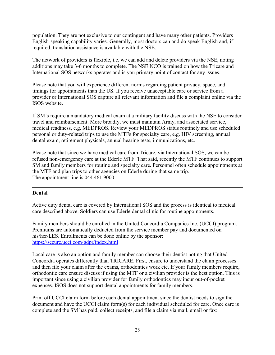population. They are not exclusive to our contingent and have many other patients. Providers English-speaking capability varies. Generally, most doctors can and do speak English and, if required, translation assistance is available with the NSE.

The network of providers is flexible, i.e. we can add and delete providers via the NSE, noting additions may take 3-6 months to complete. The NSE NCO is trained on how the Tricare and International SOS networks operates and is you primary point of contact for any issues.

Please note that you will experience different norms regarding patient privacy, space, and timings for appointments than the US. If you receive unacceptable care or service from a provider or International SOS capture all relevant information and file a complaint online via the ISOS website.

If SM's require a mandatory medical exam at a military facility discuss with the NSE to consider travel and reimbursement. More broadly, we must maintain Army, and associated service, medical readiness, e.g. MEDPROS. Review your MEDPROS status routinely and use scheduled personal or duty-related trips to use the MTFs for specialty care, e.g. HIV screening, annual dental exam, retirement physicals, annual hearing tests, immunizations, etc.

Please note that since we have medical care from Tricare, via International SOS, we can be refused non-emergency care at the Ederle MTF. That said, recently the MTF continues to support SM and family members for routine and specialty care. Personnel often schedule appointments at the MTF and plan trips to other agencies on Ederle during that same trip. The appointment line is 044.461.9000

## **Dental**

Active duty dental care is covered by International SOS and the process is identical to medical care described above. Soldiers can use Ederle dental clinic for routine appointments.

Family members should be enrolled in the United Concordia Companies Inc. (UCCI) program. Premiums are automatically deducted from the service member pay and documented on his/her/LES. Enrollments can be done online by the sponsor: <https://secure.ucci.com/gdpr/index.html>

Local care is also an option and family member can choose their dentist noting that United Concordia operates differently than TRICARE. First, ensure to understand the claim processes and then file your claim after the exams, orthodontics work etc. If your family members require, orthodontic care ensure discuss if using the MTF or a civilian provider is the best option. This is important since using a civilian provider for family orthodontics may incur out-of-pocket expenses. ISOS does not support dental appointments for family members.

Print off UCCI claim form before each dental appointment since the dentist needs to sign the document and have the UCCI claim form(s) for each individual scheduled for care. Once care is complete and the SM has paid, collect receipts, and file a claim via mail, email or fax: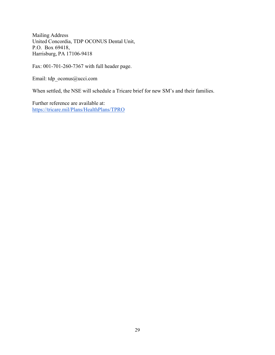Mailing Address United Concordia, TDP OCONUS Dental Unit, P.O. Box 69418, Harrisburg, PA 17106-9418

Fax: 001-701-260-7367 with full header page.

Email: [tdp\\_oconus@ucci.com](mailto:tdp_oconus@ucci.com)

When settled, the NSE will schedule a Tricare brief for new SM's and their families.

Further reference are available at: <https://tricare.mil/Plans/HealthPlans/TPRO>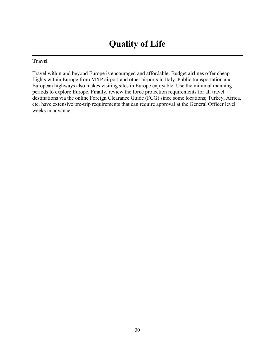## **Quality of Life**

## **Travel**

Travel within and beyond Europe is encouraged and affordable. Budget airlines offer cheap flights within Europe from MXP airport and other airports in Italy. Public transportation and European highways also makes visiting sites in Europe enjoyable. Use the minimal manning periods to explore Europe. Finally, review the force protection requirements for all travel destinations via the online Foreign Clearance Guide (FCG) since some locations; Turkey, Africa, etc. have extensive pre-trip requirements that can require approval at the General Officer level weeks in advance.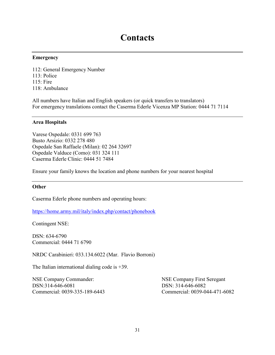## **Contacts**

#### **Emergency**

112: General Emergency Number 113: Police 115: Fire 118: Ambulance

All numbers have Italian and English speakers (or quick transfers to translators) For emergency translations contact the Caserma Ederle Vicenza MP Station: 0444 71 7114

#### **Area Hospitals**

Varese Ospedale: 0331 699 763 Busto Arsizio: 0332 278 480 Ospedale San Raffaele (Milan): 02 264 32697 Ospedale Valduce (Como): 031 324 111 Caserma Ederle Clinic: 0444 51 7484

Ensure your family knows the location and phone numbers for your nearest hospital

#### **Other**

Caserma Ederle phone numbers and operating hours:

<https://home.army.mil/italy/index.php/contact/phonebook>

Contingent NSE:

DSN: 634-6790 Commercial: 0444 71 6790

NRDC Carabinieri: 033.134.6022 (Mar. Flavio Borroni)

The Italian international dialing code is  $+39$ .

NSE Company Commander: NSE Company First Seregant DSN: 314-646-6081 DSN: 314-646-6082

Commercial: 0039-335-189-6443 Commercial: 0039-044-471-6082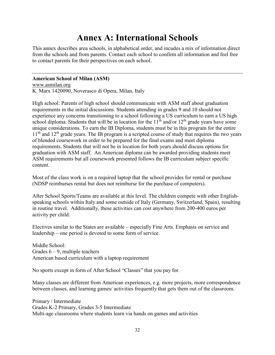## **Annex A: International Schools**

This annex describes area schools, in alphabetical order, and incudes a mix of information direct from the schools and from parents. Contact each school to confirm all information and feel free to contact parents for their perspectives on each school.

#### **American School of Milan (ASM)**

[www.asmilan.org](http://www.asmilan.org/) K. Marx 1420090, Noverasco di Opera, Milan, Italy

High school: Parents of high school should communicate with ASM staff about graduation requirements in the initial discussions. Students attending in grades 9 and 10 should not experience any concerns transitioning to a school following a US curriculum to earn a US high school diploma. Students that will be in location for the  $11<sup>th</sup>$  and/or  $12<sup>th</sup>$  grade years have some unique considerations. To earn the IB Diploma, students must be in this program for the entire  $11<sup>th</sup>$  and  $12<sup>th</sup>$  grade years. The IB program is a scripted course of study that requires the two years of blended coursework in order to be prepared for the final exams and meet diploma requirements. Students that will not be in location for both years should discuss options for graduation with ASM staff. An American diploma can be awarded providing students meet ASM requirements but all coursework presented follows the IB curriculum subject specific content.

Most of the class work is on a required laptop that the school provides for rental or purchase (NDSP reimburses rental but does not reimburse for the purchase of computers).

After School Sports/Teams are available at this level. The children compete with other Englishspeaking schools within Italy and some outside of Italy (Germany, Switzerland, Spain), resulting in routine travel. Additionally, these activities can cost anywhere from 200-400 euros per activity per child.

Electives similar to the States are available – especially Fine Arts. Emphasis on service and leadership – one period is devoted to some form of service.

Middle School: Grades  $6 - 9$ , multiple teachers American based curriculum with a laptop requirement

No sports except in form of After School "Classes" that you pay for.

Many classes are different from American experiences, e.g. more projects, more correspondence between classes, and learning games/ activities frequently that gets them out of the classroom.

Primary / Intermediate Grades K-2 Primary, Grades 3-5 Intermediate Multi-age classrooms where students learn via hands on games and activities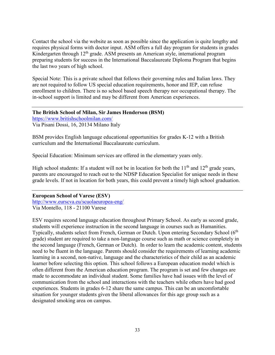Contact the school via the website as soon as possible since the application is quite lengthy and requires physical forms with doctor input. ASM offers a full day program for students in grades Kindergarten through  $12<sup>th</sup>$  grade. ASM presents an American style, international program preparing students for success in the International Baccalaureate Diploma Program that begins the last two years of high school.

Special Note: This is a private school that follows their governing rules and Italian laws. They are not required to follow US special education requirements, honor and IEP, can refuse enrollment to children. There is no school based speech therapy nor occupational therapy. The in-school support is limited and may be different from American experiences.

**The British School of Milan, Sir James Henderson (BSM)** <https://www.britishschoolmilan.com/>

Via Pisani Dossi, 16, 20134 Milano Italy

BSM provides English language educational opportunities for grades K-12 with a British curriculum and the International Baccalaureate curriculum.

Special Education: Minimum services are offered in the elementary years only.

High school students: If a student will not be in location for both the  $11<sup>th</sup>$  and  $12<sup>th</sup>$  grade years, parents are encouraged to reach out to the NDSP Education Specialist for unique needs in these grade levels. If not in location for both years, this could prevent a timely high school graduation.

**European School of Varese (ESV)** <http://www.eurscva.eu/scuolaeuropea-eng/> Via Montello, 118 - 21100 Varese

ESV requires second language education throughout Primary School. As early as second grade, students will experience instruction in the second language in courses such as Humanities. Typically, students select from French, German or Dutch. Upon entering Secondary School (6<sup>th</sup>) grade) student are required to take a non-language course such as math or science completely in the second language (French, German or Dutch). In order to learn the academic content, students need to be fluent in the language. Parents should consider the requirements of learning academic learning in a second, non-native, language and the characteristics of their child as an academic learner before selecting this option. This school follows a European education model which is often different from the American education program. The program is set and few changes are made to accommodate an individual student. Some families have had issues with the level of communication from the school and interactions with the teachers while others have had good experiences. Students in grades 6-12 share the same campus. This can be an uncomfortable situation for younger students given the liberal allowances for this age group such as a designated smoking area on campus.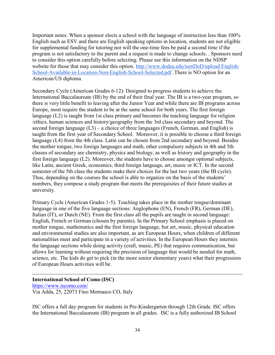Important notes: When a sponsor elects a school with the language of instruction less than 100% English such as ESV and there are English speaking options in location, students are not eligible for supplemental funding for tutoring nor will the one-time fees be paid a second time if the program is not satisfactory to the parent and a request is made to change schools. . Sponsors need to consider this option carefully before selecting. Please see this information on the NDSP website for those that may consider this option. [http://www.dodea.edu/nonDoD/upload/English-](http://www.dodea.edu/nonDoD/upload/English-School-Available-in-Location-Non-English-School-Selected.pdf)[School-Available-in-Location-Non-English-School-Selected.pdf](http://www.dodea.edu/nonDoD/upload/English-School-Available-in-Location-Non-English-School-Selected.pdf) .There is NO option for an American/US diploma.

Secondary Cycle (American Grades 6-12): Designed to progress students to achieve the International Baccalaureate (IB) by the end of their final year. The IB is a two-year program, so there is very little benefit to leaving after the Junior Year and while there are IB programs across Europe, most require the student to be at the same school for both years. The first foreign language (L2) is taught from 1st class primary and becomes the teaching language for religion /ethics, human sciences and history/geography from the 3rd class secondary and beyond. The second foreign language  $(L3)$  – a choice of three languages (French, German, and English) is taught from the first year of Secondary School. Moreover, it is possible to choose a third foreign language (L4) from the 4th class. Latin can be chosen from 2nd secondary and beyond. Besides the mother tongue, two foreign languages and math, other compulsory subjects in 4th and 5th classes of secondary are chemistry, physics and biology, as well as history and geography in the first foreign language (L2). Moreover, the students have to choose amongst optional subjects, like Latin, ancient Greek, economics, third foreign language, art, music or ICT. In the second semester of the 5th class the students make their choices for the last two years (the IB cycle). Thus, depending on the courses the school is able to organize on the basis of the students' numbers, they compose a study program that meets the prerequisites of their future studies at university.

Primary Cycle (American Grades 1-5): Teaching takes place in the mother tongue/dominant language in one of the five language sections: Anglophone (EN), French (FR), German (DE), Italian (IT), or Dutch (NE). From the first class all the pupils are taught in second language: English, French or German (chosen by parents). In the Primary School emphasis is placed on mother tongue, mathematics and the first foreign language, but art, music, physical education and environmental studies are also important, as are European Hours, when children of different nationalities meet and participate in a variety of activities. In the European Hours they intermix the language sections while doing activity (craft, music, PE) that requires communication, but allows for learning without requiring the precision of language that would be needed for math, science, etc. The kids do get to pick (in the more senior elementary years) what their progression of European Hours activities will be.

**International School of Como (ISC)** <https://www.iscomo.com/> Via Adda, 25, 22073 Fino Mornasco CO, Italy

ISC offers a full day program for students in Pre-Kindergarten through 12th Grade. ISC offers the International Baccalaureate (IB) program in all grades. ISC is a fully authorized IB School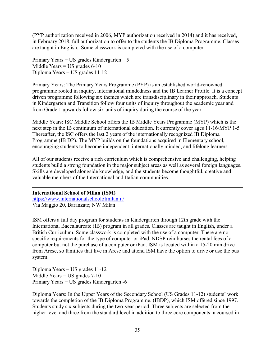(PYP authorization received in 2006, MYP authorization received in 2014) and it has received, in February 2018, full authorization to offer to the students the IB Diploma Programme. Classes are taught in English. Some classwork is completed with the use of a computer.

Primary Years =  $US$  grades Kindergarten  $-5$ Middle Years  $=$  US grades 6-10 Diploma Years = US grades 11-12

Primary Years: The Primary Years Programme (PYP) is an established world-renowned programme rooted in inquiry, international mindedness and the IB Learner Profile. It is a concept driven programme following six themes which are transdisciplinary in their approach. Students in Kindergarten and Transition follow four units of inquiry throughout the academic year and from Grade 1 upwards follow six units of inquiry during the course of the year.

Middle Years: ISC Middle School offers the IB Middle Years Programme (MYP) which is the next step in the IB continuum of international education. It currently cover ages 11-16/MYP 1-5 Thereafter, the ISC offers the last 2 years of the internationally recognized IB Diploma Programme (IB DP). The MYP builds on the foundations acquired in Elementary school, encouraging students to become independent, internationally minded, and lifelong learners.

All of our students receive a rich curriculum which is comprehensive and challenging, helping students build a strong foundation in the major subject areas as well as several foreign languages. Skills are developed alongside knowledge, and the students become thoughtful, creative and valuable members of the International and Italian communities.

**International School of Milan (ISM)** <https://www.internationalschoolofmilan.it/> Via Maggio 20, Baranzate; NW Milan

ISM offers a full day program for students in Kindergarten through 12th grade with the International Baccalaureate (IB) program in all grades. Classes are taught in English, under a British Curriculum. Some classwork is completed with the use of a computer. There are no specific requirements for the type of computer or iPad. NDSP reimburses the rental fees of a computer but not the purchase of a computer or iPad. ISM is located within a 15-20 min drive from Arese, so families that live in Arese and attend ISM have the option to drive or use the bus system.

Diploma Years = US grades 11-12 Middle Years  $=$  US grades  $7-10$ Primary Years = US grades Kindergarten -6

Diploma Years: In the Upper Years of the Secondary School (US Grades 11-12) students' work towards the completion of the IB Diploma Programme. (IBDP), which ISM offered since 1997. Students study six subjects during the two-year period. Three subjects are selected from the higher level and three from the standard level in addition to three core components: a coursed in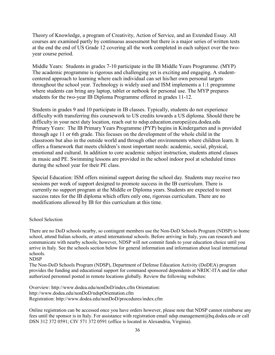Theory of Knowledge, a program of Creativity, Action of Service, and an Extended Essay. All courses are examined partly by continuous assessment but there is a major series of written tests at the end the end of US Grade 12 covering all the work completed in each subject over the twoyear course period.

Middle Years: Students in grades 7-10 participate in the IB Middle Years Programme. (MYP) The academic programme is rigorous and challenging yet is exciting and engaging. A studentcentered approach to learning where each individual can set his/her own personal targets throughout the school year. Technology is widely used and ISM implements a 1:1 programme where students can bring any laptop, tablet or netbook for personal use. The MYP prepares students for the two-year IB Diploma Programme offered in grades 11-12.

Students in grades 9 and 10 participate in IB classes. Typically, students do not experience difficulty with transferring this coursework to US credits towards a US diploma. Should there be difficulty in your next duty location, reach out to [ndsp.education.europe@eu.dodea.edu](mailto:ndsp.education.europe@eu.dodea.edu) Primary Years: The IB Primary Years Programme (PYP) begins in Kindergarten and is provided through age 11 or 6th grade. This focuses on the development of the whole child in the classroom but also in the outside world and through other environments where children learn. It offers a framework that meets children's most important needs: academic, social, physical, emotional and cultural. In addition to core academic subject instruction, students attend classes in music and PE. Swimming lessons are provided in the school indoor pool at scheduled times during the school year for their PE class.

Special Education: ISM offers minimal support during the school day. Students may receive two sessions per week of support designed to promote success in the IB curriculum. There is currently no support program at the Middle or Diploma years. Students are expected to meet success rates for the IB diploma which offers only one, rigorous curriculum. There are no modifications allowed by IB for this curriculum at this time.

#### School Selection

There are no DoD schools nearby, so contingent members use the Non-DoD Schools Program (NDSP) to home school, attend Italian schools, or attend international schools. Before arriving in Italy, you can research and communicate with nearby schools; however, NDSP will not commit funds to your education choice until you arrive in Italy. See the schools section below for general information and information about local international schools.

#### NDSP

The Non-DoD Schools Program (NDSP), Department of Defense Education Activity (DoDEA) program provides the funding and educational support for command sponsored dependents at NRDC-ITA and for other authorized personnel posted in remote locations globally. Review the following websites:

Overview: http://www.dodea.edu/nonDoD/index.cfm Orientation: http://www.dodea.edu/nonDoD/ndspOrientation.cfm Registration: http://www.dodea.edu/nonDoD/procedures/index.cfm

Online registration can be accessed once you have orders however, please note that NDSP cannot reimburse any fees until the sponsor is in Italy. For assistance with registration email ndsp.management@hq.dodea.edu or call DSN 312 372 0591; CIV 571 372 0591 (office is located in Alexandria, Virginia).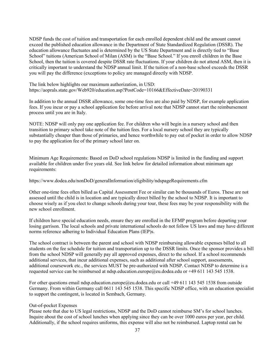NDSP funds the cost of tuition and transportation for each enrolled dependent child and the amount cannot exceed the published education allowance in the Department of State Standardized Regulation (DSSR). The education allowance fluctuates and is determined by the US State Department and is directly tied to "Base School" tuitions (American School of Milan (ASM) is the "Base School." If you enroll children in the Base School, then the tuition is covered despite DSSR rate fluctuations. If your children do not attend ASM, then it is critically important to understand the NDSP annual limit. If the tuition of a non-base school exceeds the DSSR you will pay the difference (exceptions to policy are managed directly with NDSP.

The link below highlights our maximum authorization, in USD: https://aoprals.state.gov/Web920/education.asp?PostCode=10166&EffectiveDate=20190331

In addition to the annual DSSR allowance, some one-time fees are also paid by NDSP, for example application fees. If you incur or pay a school application fee before arrival note that NDSP cannot start the reimbursement process until you are in Italy.

NOTE: NDSP will only pay one application fee. For children who will begin in a nursery school and then transition to primary school take note of the tuition fees. For a local nursery school they are typically substantially cheaper than those of primaries, and hence worthwhile to pay out of pocket in order to allow NDSP to pay the application fee of the primary school later on.

Minimum Age Requirements: Based on DoD school regulations NDSP is limited in the funding and support available for children under five years old. See link below for detailed information about minimum age requirements:

https://www.dodea.edu/nonDoD/generalInformation/eligibility/ndspageRequirements.cfm

Other one-time fees often billed as Capital Assessment Fee or similar can be thousands of Euros. These are not assessed until the child is in location and are typically direct billed by the school to NDSP. It is important to choose wisely as if you elect to change schools during your tour, these fees may be your responsibility with the new school enrollment.

If children have special education needs, ensure they are enrolled in the EFMP program before departing your losing garrison. The local schools and private international schools do not follow US laws and may have different norms reference adhering to Individual Education Plans (IEP)s.

The school contract is between the parent and school with NDSP reimbursing allowable expenses billed to all students on the fee schedule for tuition and transportation up to the DSSR limits. Once the sponsor provides a bill from the school NDSP will generally pay all approved expenses, direct to the school. If a school recommends additional services, that incur additional expenses, such as additional after school support, assessments, additional coursework etc., the services MUST be pre-authorized with NDSP. Contact NDSP to determine is a requested service can be reimbursed at ndsp.education.europe@eu.dodea.edu or +49 611 143 545 1538.

For other questions email ndsp.education.europe@eu.dodea.edu or call +49 611 143 545 1538 from outside Germany. From within Germany call 0611 143 545 1538. This specific NDSP office, with an education specialist to support the contingent, is located in Sembach, Germany.

#### Out-of-pocket Expenses

Please note that due to US legal restrictions, NDSP and the DoD cannot reimburse SM's for school lunches. Inquire about the cost of school lunches when applying since they can be over 1000 euros per year, per child. Additionally, if the school requires uniforms, this expense will also not be reimbursed. Laptop rental can be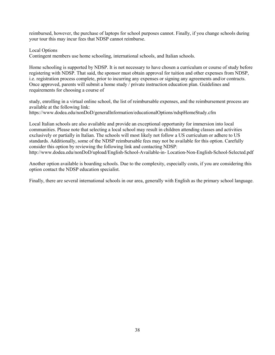reimbursed, however, the purchase of laptops for school purposes cannot. Finally, if you change schools during your tour this may incur fees that NDSP cannot reimburse.

Local Options

Contingent members use home schooling, international schools, and Italian schools.

Home schooling is supported by NDSP. It is not necessary to have chosen a curriculum or course of study before registering with NDSP. That said, the sponsor must obtain approval for tuition and other expenses from NDSP, i.e. registration process complete, prior to incurring any expenses or signing any agreements and/or contracts. Once approved, parents will submit a home study / private instruction education plan. Guidelines and requirements for choosing a course of

study, enrolling in a virtual online school, the list of reimbursable expenses, and the reimbursement process are available at the following link: https://www.dodea.edu/nonDoD/generalInformation/educationalOptions/ndspHomeStudy.cfm

Local Italian schools are also available and provide an exceptional opportunity for immersion into local communities. Please note that selecting a local school may result in children attending classes and activities exclusively or partially in Italian. The schools will most likely not follow a US curriculum or adhere to US standards. Additionally, some of the NDSP reimbursable fees may not be available for this option. Carefully consider this option by reviewing the following link and contacting NDSP: http://www.dodea.edu/nonDoD/upload/English-School-Available-in- Location-Non-English-School-Selected.pdf

Another option available is boarding schools. Due to the complexity, especially costs, if you are considering this option contact the NDSP education specialist.

Finally, there are several international schools in our area, generally with English as the primary school language.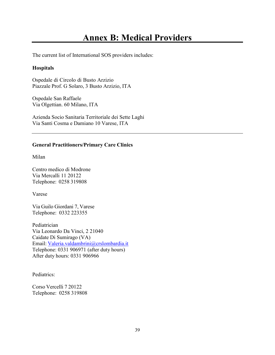## **Annex B: Medical Providers**

The current list of International SOS providers includes:

#### **Hospitals**

Ospedale di Circolo di Busto Arzizio Piazzale Prof. G Solaro, 3 Busto Arzizio, ITA

Ospedale San Raffaele Via Olgettian. 60 Milano, ITA

Azienda Socio Sanitaria Territoriale dei Sette Laghi Via Santi Cosma e Damiano 10 Varese, ITA

#### **General Practitioners/Primary Care Clinics**

Milan

Centro medico di Modrone Via Mercalli 11 20122 Telephone: 0258 319808

Varese

Via Guilo Giordani 7, Varese Telephone: 0332 223355

Pediatrician Via Leonardo Da Vinci, 2 21040 Caidate Di Sumirago (VA) Email: [Valeria.valdambrini@crslombardia.it](mailto:Valeria.valdambrini@crslombardia.it) Telephone: 0331 906971 (after duty hours) After duty hours: 0331 906966

Pediatrics:

Corso Vercelli 7 20122 Telephone: 0258 319808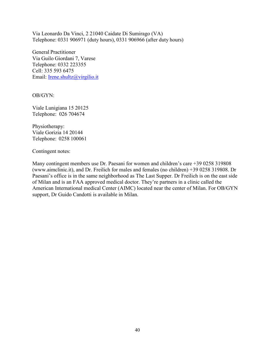Via Leonardo Da Vinci, 2 21040 Caidate Di Sumirago (VA) Telephone: 0331 906971 (duty hours), 0331 906966 (after duty hours)

General Practitioner Via Guilo Giordani 7, Varese Telephone: 0332 223355 Cell: 335 593 6475 Email: [Irene.shultz@virgilio.it](mailto:Irene.shultz@virgilio.it)

OB/GYN:

Viale Lunigiana 15 20125 Telephone: 026 704674

Physiotherapy: Viale Gorizia 14 20144 Telephone: 0258 100061

Contingent notes:

Many contingent members use Dr. Paesani for women and children's care +39 0258 319808 (www.aimclinic.it), and Dr. Freilich for males and females (no children) +39 0258 319808. Dr Paesani's office is in the same neighborhood as The Last Supper. Dr Freilich is on the east side of Milan and is an FAA approved medical doctor. They're partners in a clinic called the American International medical Center (AIMC) located near the center of Milan. For OB/GYN support, Dr Guido Candotti is available in Milan.